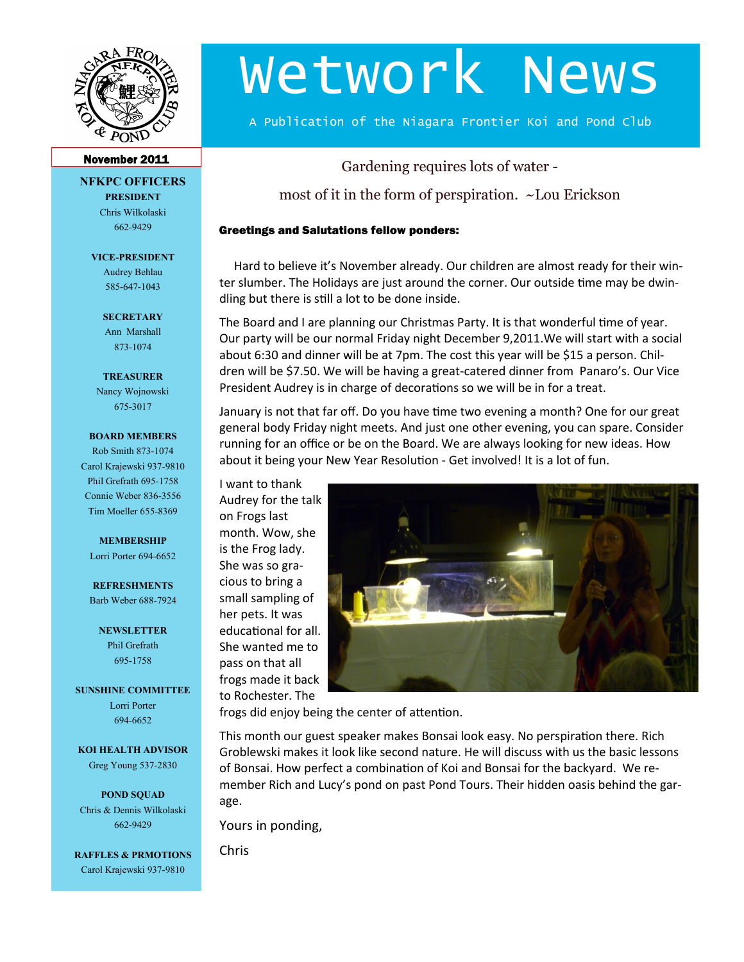

# Wetwork News

A Publication of the Niagara Frontier Koi and Pond Club

### November 2011

**NFKPC OFFICERS PRESIDENT**

> Chris Wilkolaski 662-9429

**VICE-PRESIDENT** Audrey Behlau

585-647-1043

**SECRETARY** Ann Marshall 873-1074

**TREASURER** Nancy Wojnowski 675-3017

#### **BOARD MEMBERS**

Rob Smith 873-1074 Carol Krajewski 937-9810 Phil Grefrath 695-1758 Connie Weber 836-3556 Tim Moeller 655-8369

#### **MEMBERSHIP**

Lorri Porter 694-6652

**REFRESHMENTS** Barb Weber 688-7924

> **NEWSLETTER** Phil Grefrath 695-1758

**SUNSHINE COMMITTEE** Lorri Porter

694-6652

**KOI HEALTH ADVISOR** Greg Young 537-2830

**POND SQUAD** Chris & Dennis Wilkolaski 662-9429

**RAFFLES & PRMOTIONS** Carol Krajewski 937-9810

Gardening requires lots of water -

most of it in the form of perspiration. ~Lou Erickson

#### Greetings and Salutations fellow ponders:

Hard to believe it's November already. Our children are almost ready for their winter slumber. The Holidays are just around the corner. Our outside time may be dwindling but there is still a lot to be done inside.

The Board and I are planning our Christmas Party. It is that wonderful time of year. Our party will be our normal Friday night December 9,2011.We will start with a social about 6:30 and dinner will be at 7pm. The cost this year will be \$15 a person. Children will be \$7.50. We will be having a great-catered dinner from Panaro's. Our Vice President Audrey is in charge of decorations so we will be in for a treat.

January is not that far off. Do you have time two evening a month? One for our great general body Friday night meets. And just one other evening, you can spare. Consider running for an office or be on the Board. We are always looking for new ideas. How about it being your New Year Resolution - Get involved! It is a lot of fun.

I want to thank Audrey for the talk on Frogs last month. Wow, she is the Frog lady. She was so gracious to bring a small sampling of her pets. It was educational for all. She wanted me to pass on that all frogs made it back to Rochester. The



frogs did enjoy being the center of attention.

This month our guest speaker makes Bonsai look easy. No perspiration there. Rich Groblewski makes it look like second nature. He will discuss with us the basic lessons of Bonsai. How perfect a combination of Koi and Bonsai for the backyard. We remember Rich and Lucy's pond on past Pond Tours. Their hidden oasis behind the garage.

Yours in ponding,

Chris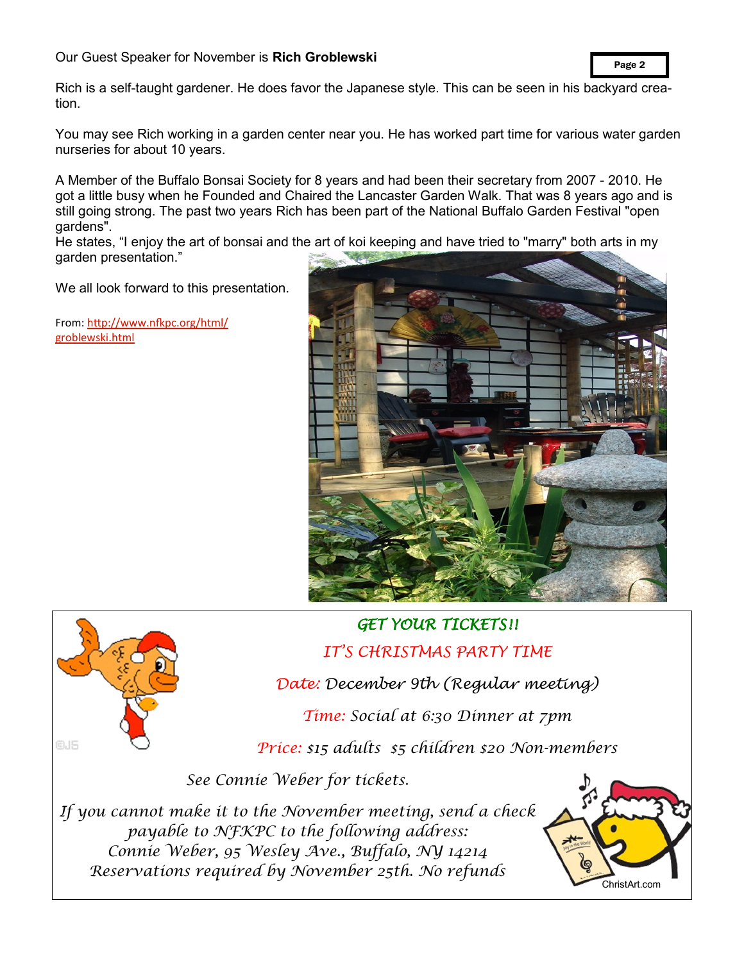## Our Guest Speaker for November is **Rich Groblewski**

Page 2

Rich is a self-taught gardener. He does favor the Japanese style. This can be seen in his backyard creation.

You may see Rich working in a garden center near you. He has worked part time for various water garden nurseries for about 10 years.

A Member of the Buffalo Bonsai Society for 8 years and had been their secretary from 2007 - 2010. He got a little busy when he Founded and Chaired the Lancaster Garden Walk. That was 8 years ago and is still going strong. The past two years Rich has been part of the National Buffalo Garden Festival "open gardens".

He states, "I enjoy the art of bonsai and the art of koi keeping and have tried to "marry" both arts in my garden presentation."

We all look forward to this presentation.

From: [http://www.nfkpc.org/html/](http://www.nfkpc.org/html/groblewski.html) [groblewski.html](http://www.nfkpc.org/html/groblewski.html)



## *GET YOUR TICKETS!!*

*IT'S CHRISTMAS PARTY TIME*

*Date: December 9th (Regular meeting)*

*Time: Social at 6:30 Dinner at 7pm*

*Price: \$15 adults \$5 children \$20 Non-members*

*See Connie Weber for tickets.*

*If you cannot make it to the November meeting, send a check payable to NFKPC to the following address: Connie Weber, 95 Wesley Ave., Buffalo, NY 14214 Reservations required by November 25th. No refunds*



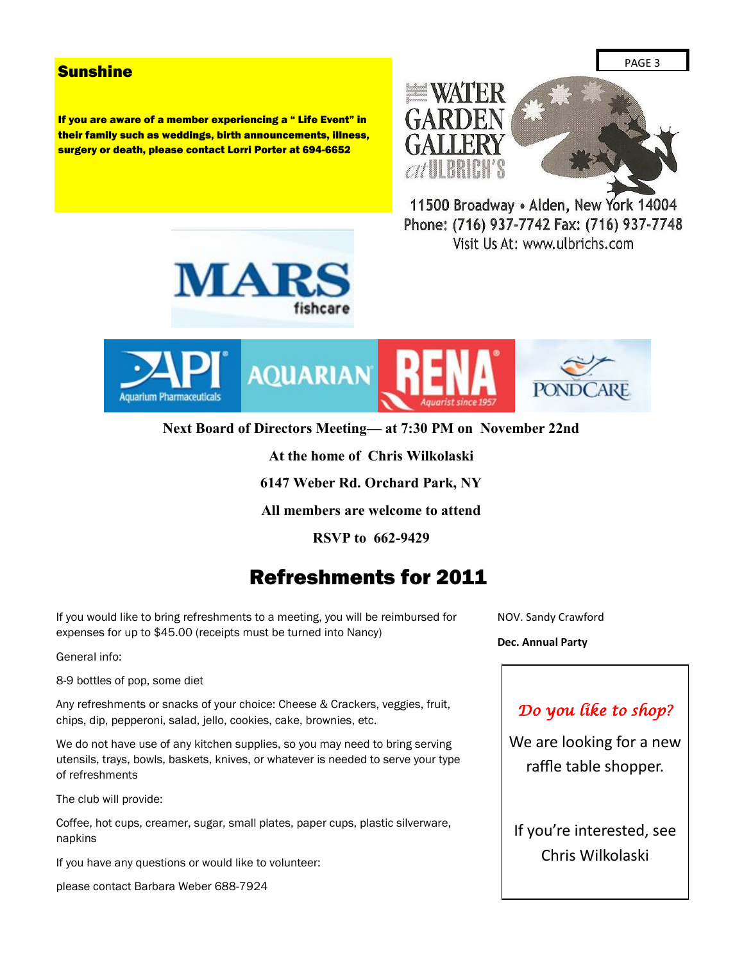## **Sunshine**

If you are aware of a member experiencing a " Life Event" in their family such as weddings, birth announcements, illness, surgery or death, please contact Lorri Porter at 694-6652



11500 Broadway . Alden, New York 14004 Phone: (716) 937-7742 Fax: (716) 937-7748 Visit Us At: www.ulbrichs.com





**Next Board of Directors Meeting— at 7:30 PM on November 22nd**

**At the home of Chris Wilkolaski**

**6147 Weber Rd. Orchard Park, NY**

**All members are welcome to attend**

**RSVP to 662-9429**

## Refreshments for 2011

If you would like to bring refreshments to a meeting, you will be reimbursed for expenses for up to \$45.00 (receipts must be turned into Nancy)

General info:

8-9 bottles of pop, some diet

Any refreshments or snacks of your choice: Cheese & Crackers, veggies, fruit, chips, dip, pepperoni, salad, jello, cookies, cake, brownies, etc.

We do not have use of any kitchen supplies, so you may need to bring serving utensils, trays, bowls, baskets, knives, or whatever is needed to serve your type of refreshments

The club will provide:

Coffee, hot cups, creamer, sugar, small plates, paper cups, plastic silverware, napkins

If you have any questions or would like to volunteer:

please contact Barbara Weber 688-7924

NOV. Sandy Crawford

**Dec. Annual Party**

## *Do you like to shop?*

We are looking for a new raffle table shopper.

If you're interested, see Chris Wilkolaski

PAGE 3